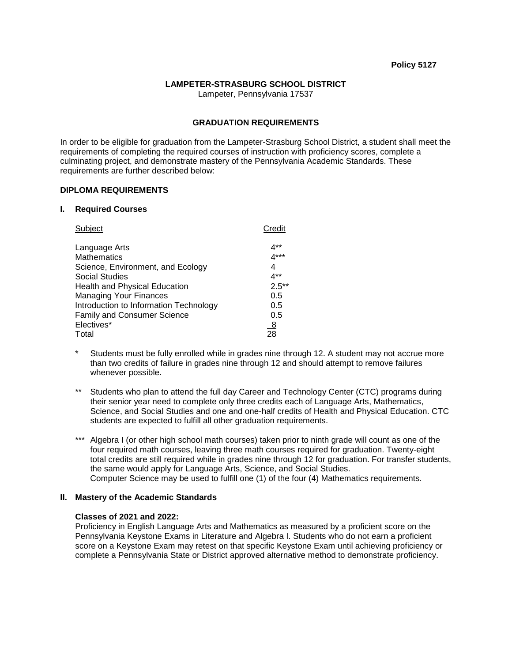# **LAMPETER-STRASBURG SCHOOL DISTRICT**

Lampeter, Pennsylvania 17537

# **GRADUATION REQUIREMENTS**

In order to be eligible for graduation from the Lampeter-Strasburg School District, a student shall meet the requirements of completing the required courses of instruction with proficiency scores, complete a culminating project, and demonstrate mastery of the Pennsylvania Academic Standards. These requirements are further described below:

# **DIPLOMA REQUIREMENTS**

### **I. Required Courses**

| Subject                                | Credit   |
|----------------------------------------|----------|
| Language Arts                          | 4**      |
| <b>Mathematics</b>                     | $4***$   |
| Science, Environment, and Ecology      | 4        |
| <b>Social Studies</b>                  | $4**$    |
| <b>Health and Physical Education</b>   | $2.5***$ |
| <b>Managing Your Finances</b>          | 0.5      |
| Introduction to Information Technology | 0.5      |
| <b>Family and Consumer Science</b>     | 0.5      |
| Electives*                             | 8        |
| Total                                  | 28       |

- Students must be fully enrolled while in grades nine through 12. A student may not accrue more than two credits of failure in grades nine through 12 and should attempt to remove failures whenever possible.
- \*\* Students who plan to attend the full day Career and Technology Center (CTC) programs during their senior year need to complete only three credits each of Language Arts, Mathematics, Science, and Social Studies and one and one-half credits of Health and Physical Education. CTC students are expected to fulfill all other graduation requirements.
- \*\*\* Algebra I (or other high school math courses) taken prior to ninth grade will count as one of the four required math courses, leaving three math courses required for graduation. Twenty-eight total credits are still required while in grades nine through 12 for graduation. For transfer students, the same would apply for Language Arts, Science, and Social Studies. Computer Science may be used to fulfill one (1) of the four (4) Mathematics requirements.

#### **II. Mastery of the Academic Standards**

## **Classes of 2021 and 2022:**

Proficiency in English Language Arts and Mathematics as measured by a proficient score on the Pennsylvania Keystone Exams in Literature and Algebra I. Students who do not earn a proficient score on a Keystone Exam may retest on that specific Keystone Exam until achieving proficiency or complete a Pennsylvania State or District approved alternative method to demonstrate proficiency.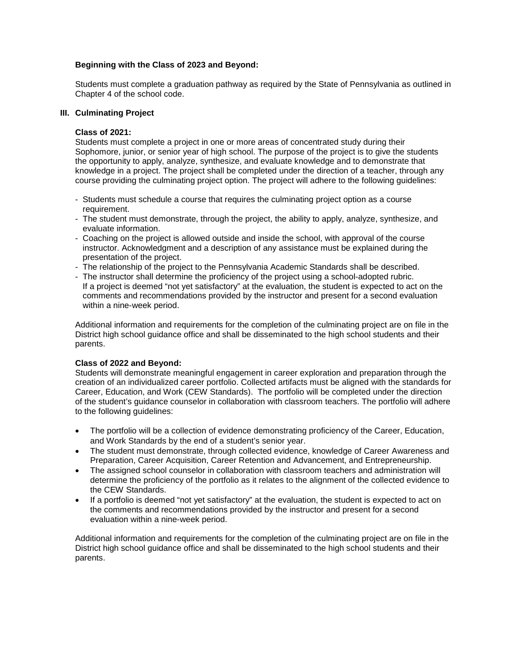# **Beginning with the Class of 2023 and Beyond:**

Students must complete a graduation pathway as required by the State of Pennsylvania as outlined in Chapter 4 of the school code.

# **III. Culminating Project**

## **Class of 2021:**

Students must complete a project in one or more areas of concentrated study during their Sophomore, junior, or senior year of high school. The purpose of the project is to give the students the opportunity to apply, analyze, synthesize, and evaluate knowledge and to demonstrate that knowledge in a project. The project shall be completed under the direction of a teacher, through any course providing the culminating project option. The project will adhere to the following guidelines:

- Students must schedule a course that requires the culminating project option as a course requirement.
- The student must demonstrate, through the project, the ability to apply, analyze, synthesize, and evaluate information.
- Coaching on the project is allowed outside and inside the school, with approval of the course instructor. Acknowledgment and a description of any assistance must be explained during the presentation of the project.
- The relationship of the project to the Pennsylvania Academic Standards shall be described.
- The instructor shall determine the proficiency of the project using a school-adopted rubric. If a project is deemed "not yet satisfactory" at the evaluation, the student is expected to act on the comments and recommendations provided by the instructor and present for a second evaluation within a nine-week period.

Additional information and requirements for the completion of the culminating project are on file in the District high school guidance office and shall be disseminated to the high school students and their parents.

## **Class of 2022 and Beyond:**

Students will demonstrate meaningful engagement in career exploration and preparation through the creation of an individualized career portfolio. Collected artifacts must be aligned with the standards for Career, Education, and Work (CEW Standards). The portfolio will be completed under the direction of the student's guidance counselor in collaboration with classroom teachers. The portfolio will adhere to the following guidelines:

- The portfolio will be a collection of evidence demonstrating proficiency of the Career, Education, and Work Standards by the end of a student's senior year.
- The student must demonstrate, through collected evidence, knowledge of Career Awareness and Preparation, Career Acquisition, Career Retention and Advancement, and Entrepreneurship.
- The assigned school counselor in collaboration with classroom teachers and administration will determine the proficiency of the portfolio as it relates to the alignment of the collected evidence to the CEW Standards.
- If a portfolio is deemed "not yet satisfactory" at the evaluation, the student is expected to act on the comments and recommendations provided by the instructor and present for a second evaluation within a nine-week period.

Additional information and requirements for the completion of the culminating project are on file in the District high school guidance office and shall be disseminated to the high school students and their parents.